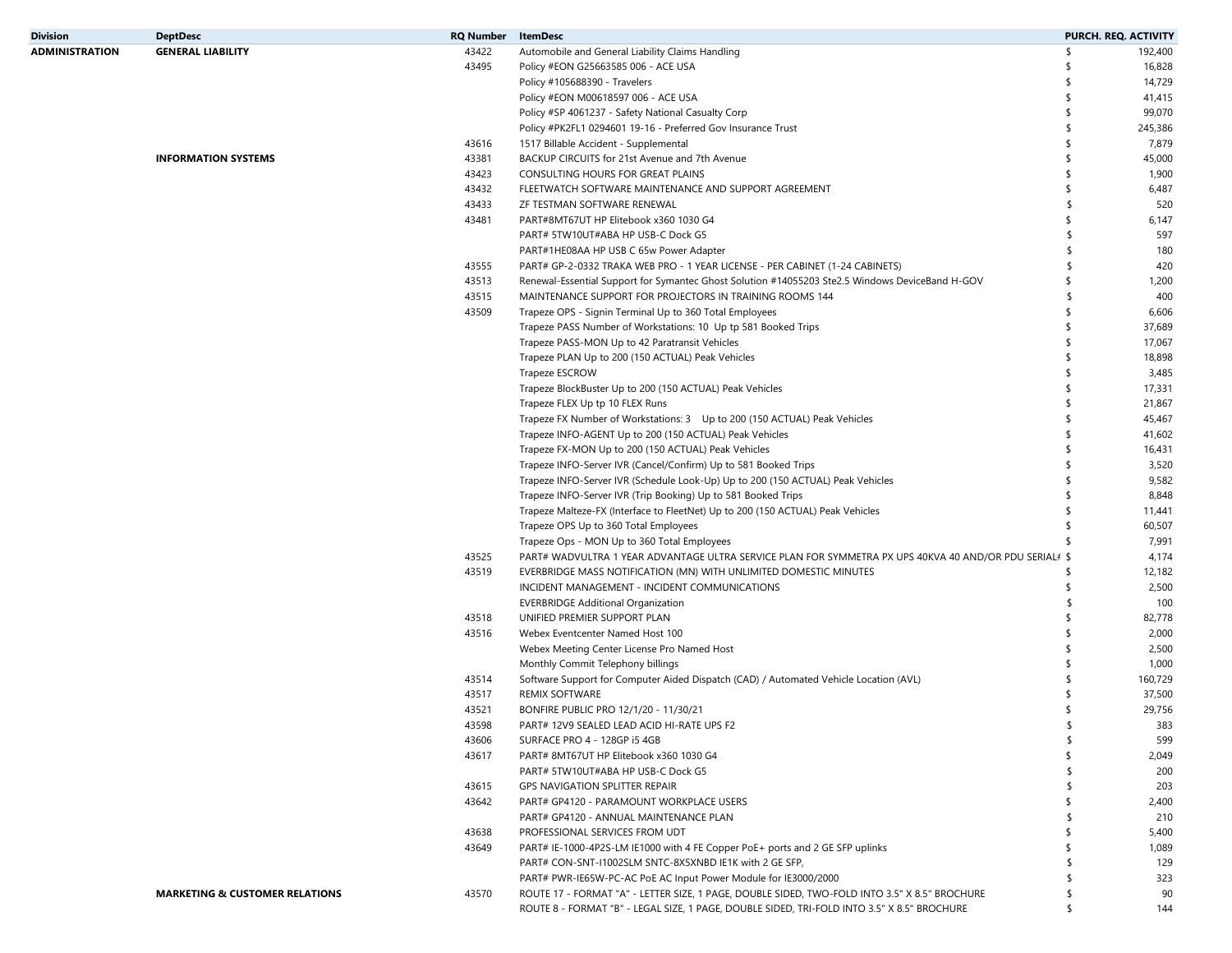| <b>Division</b>       | <b>DeptDesc</b>                           | <b>RQ Number</b> | ItemDesc                                                                                                                                                         | PURCH. REQ. ACTIVITY |         |
|-----------------------|-------------------------------------------|------------------|------------------------------------------------------------------------------------------------------------------------------------------------------------------|----------------------|---------|
| <b>ADMINISTRATION</b> | <b>GENERAL LIABILITY</b>                  | 43422            | Automobile and General Liability Claims Handling                                                                                                                 | \$                   | 192,400 |
|                       |                                           | 43495            | Policy #EON G25663585 006 - ACE USA                                                                                                                              |                      | 16,828  |
|                       |                                           |                  | Policy #105688390 - Travelers                                                                                                                                    |                      | 14,729  |
|                       |                                           |                  | Policy #EON M00618597 006 - ACE USA                                                                                                                              | -\$                  | 41,415  |
|                       |                                           |                  | Policy #SP 4061237 - Safety National Casualty Corp                                                                                                               | \$                   | 99,070  |
|                       |                                           |                  | Policy #PK2FL1 0294601 19-16 - Preferred Gov Insurance Trust                                                                                                     | S                    | 245,386 |
|                       |                                           | 43616            | 1517 Billable Accident - Supplemental                                                                                                                            |                      | 7,879   |
|                       | <b>INFORMATION SYSTEMS</b>                | 43381            | BACKUP CIRCUITS for 21st Avenue and 7th Avenue                                                                                                                   | \$                   | 45,000  |
|                       |                                           | 43423            | CONSULTING HOURS FOR GREAT PLAINS                                                                                                                                |                      | 1,900   |
|                       |                                           | 43432            | FLEETWATCH SOFTWARE MAINTENANCE AND SUPPORT AGREEMENT                                                                                                            |                      | 6,487   |
|                       |                                           | 43433            | ZF TESTMAN SOFTWARE RENEWAL                                                                                                                                      | \$                   | 520     |
|                       |                                           | 43481            | PART#8MT67UT HP Elitebook x360 1030 G4                                                                                                                           | \$                   | 6,147   |
|                       |                                           |                  | PART# 5TW10UT#ABA HP USB-C Dock G5                                                                                                                               | \$                   | 597     |
|                       |                                           |                  | PART#1HE08AA HP USB C 65w Power Adapter                                                                                                                          | -\$                  | 180     |
|                       |                                           | 43555            | PART# GP-2-0332 TRAKA WEB PRO - 1 YEAR LICENSE - PER CABINET (1-24 CABINETS)                                                                                     | S.                   | 420     |
|                       |                                           | 43513            |                                                                                                                                                                  | \$                   | 1,200   |
|                       |                                           |                  | Renewal-Essential Support for Symantec Ghost Solution #14055203 Ste2.5 Windows DeviceBand H-GOV                                                                  |                      |         |
|                       |                                           | 43515            | MAINTENANCE SUPPORT FOR PROJECTORS IN TRAINING ROOMS 144                                                                                                         |                      | 400     |
|                       |                                           | 43509            | Trapeze OPS - Signin Terminal Up to 360 Total Employees                                                                                                          | \$                   | 6,606   |
|                       |                                           |                  | Trapeze PASS Number of Workstations: 10 Up tp 581 Booked Trips                                                                                                   | \$                   | 37,689  |
|                       |                                           |                  | Trapeze PASS-MON Up to 42 Paratransit Vehicles                                                                                                                   | \$                   | 17,067  |
|                       |                                           |                  | Trapeze PLAN Up to 200 (150 ACTUAL) Peak Vehicles                                                                                                                |                      | 18,898  |
|                       |                                           |                  | Trapeze ESCROW                                                                                                                                                   |                      | 3,485   |
|                       |                                           |                  | Trapeze BlockBuster Up to 200 (150 ACTUAL) Peak Vehicles                                                                                                         | \$                   | 17,331  |
|                       |                                           |                  | Trapeze FLEX Up tp 10 FLEX Runs                                                                                                                                  |                      | 21,867  |
|                       |                                           |                  | Trapeze FX Number of Workstations: 3 Up to 200 (150 ACTUAL) Peak Vehicles                                                                                        |                      | 45,467  |
|                       |                                           |                  | Trapeze INFO-AGENT Up to 200 (150 ACTUAL) Peak Vehicles                                                                                                          | \$                   | 41,602  |
|                       |                                           |                  | Trapeze FX-MON Up to 200 (150 ACTUAL) Peak Vehicles                                                                                                              |                      | 16,431  |
|                       |                                           |                  | Trapeze INFO-Server IVR (Cancel/Confirm) Up to 581 Booked Trips                                                                                                  |                      | 3,520   |
|                       |                                           |                  | Trapeze INFO-Server IVR (Schedule Look-Up) Up to 200 (150 ACTUAL) Peak Vehicles                                                                                  |                      | 9,582   |
|                       |                                           |                  | Trapeze INFO-Server IVR (Trip Booking) Up to 581 Booked Trips                                                                                                    |                      | 8,848   |
|                       |                                           |                  | Trapeze Malteze-FX (Interface to FleetNet) Up to 200 (150 ACTUAL) Peak Vehicles                                                                                  |                      | 11,441  |
|                       |                                           |                  | Trapeze OPS Up to 360 Total Employees                                                                                                                            | \$                   | 60,507  |
|                       |                                           |                  | Trapeze Ops - MON Up to 360 Total Employees                                                                                                                      |                      | 7,991   |
|                       |                                           | 43525            | PART# WADVULTRA 1 YEAR ADVANTAGE ULTRA SERVICE PLAN FOR SYMMETRA PX UPS 40KVA 40 AND/OR PDU SERIAL#\$                                                            |                      | 4,174   |
|                       |                                           | 43519            | EVERBRIDGE MASS NOTIFICATION (MN) WITH UNLIMITED DOMESTIC MINUTES                                                                                                | -\$                  | 12,182  |
|                       |                                           |                  | INCIDENT MANAGEMENT - INCIDENT COMMUNICATIONS                                                                                                                    | \$                   | 2,500   |
|                       |                                           |                  | <b>EVERBRIDGE Additional Organization</b>                                                                                                                        | $\mathsf{\$}$        | 100     |
|                       |                                           | 43518            | UNIFIED PREMIER SUPPORT PLAN                                                                                                                                     |                      | 82,778  |
|                       |                                           | 43516            | Webex Eventcenter Named Host 100                                                                                                                                 |                      | 2,000   |
|                       |                                           |                  | Webex Meeting Center License Pro Named Host                                                                                                                      |                      | 2,500   |
|                       |                                           |                  | Monthly Commit Telephony billings                                                                                                                                | \$.                  | 1,000   |
|                       |                                           | 43514            | Software Support for Computer Aided Dispatch (CAD) / Automated Vehicle Location (AVL)                                                                            |                      | 160,729 |
|                       |                                           | 43517            | REMIX SOFTWARE                                                                                                                                                   |                      | 37,500  |
|                       |                                           | 43521            | BONFIRE PUBLIC PRO 12/1/20 - 11/30/21                                                                                                                            | -\$                  | 29,756  |
|                       |                                           | 43598            | PART# 12V9 SEALED LEAD ACID HI-RATE UPS F2                                                                                                                       |                      | 383     |
|                       |                                           | 43606            | SURFACE PRO 4 - 128GP i5 4GB                                                                                                                                     | \$                   | 599     |
|                       |                                           | 43617            | PART# 8MT67UT HP Elitebook x360 1030 G4                                                                                                                          | \$                   | 2,049   |
|                       |                                           |                  | PART# 5TW10UT#ABA HP USB-C Dock G5                                                                                                                               |                      | 200     |
|                       |                                           | 43615            | GPS NAVIGATION SPLITTER REPAIR                                                                                                                                   |                      | 203     |
|                       |                                           | 43642            | PART# GP4120 - PARAMOUNT WORKPLACE USERS                                                                                                                         |                      | 2,400   |
|                       |                                           |                  | PART# GP4120 - ANNUAL MAINTENANCE PLAN                                                                                                                           |                      | 210     |
|                       |                                           | 43638            | PROFESSIONAL SERVICES FROM UDT                                                                                                                                   |                      | 5,400   |
|                       |                                           | 43649            | PART# IE-1000-4P2S-LM IE1000 with 4 FE Copper PoE+ ports and 2 GE SFP uplinks                                                                                    |                      | 1,089   |
|                       |                                           |                  | PART# CON-SNT-I1002SLM SNTC-8X5XNBD IE1K with 2 GE SFP,                                                                                                          |                      | 129     |
|                       |                                           |                  |                                                                                                                                                                  |                      | 323     |
|                       | <b>MARKETING &amp; CUSTOMER RELATIONS</b> | 43570            | PART# PWR-IE65W-PC-AC PoE AC Input Power Module for IE3000/2000<br>ROUTE 17 - FORMAT "A" - LETTER SIZE, 1 PAGE, DOUBLE SIDED, TWO-FOLD INTO 3.5" X 8.5" BROCHURE |                      | 90      |
|                       |                                           |                  | ROUTE 8 - FORMAT "B" - LEGAL SIZE, 1 PAGE, DOUBLE SIDED, TRI-FOLD INTO 3.5" X 8.5" BROCHURE                                                                      | \$                   | 144     |
|                       |                                           |                  |                                                                                                                                                                  |                      |         |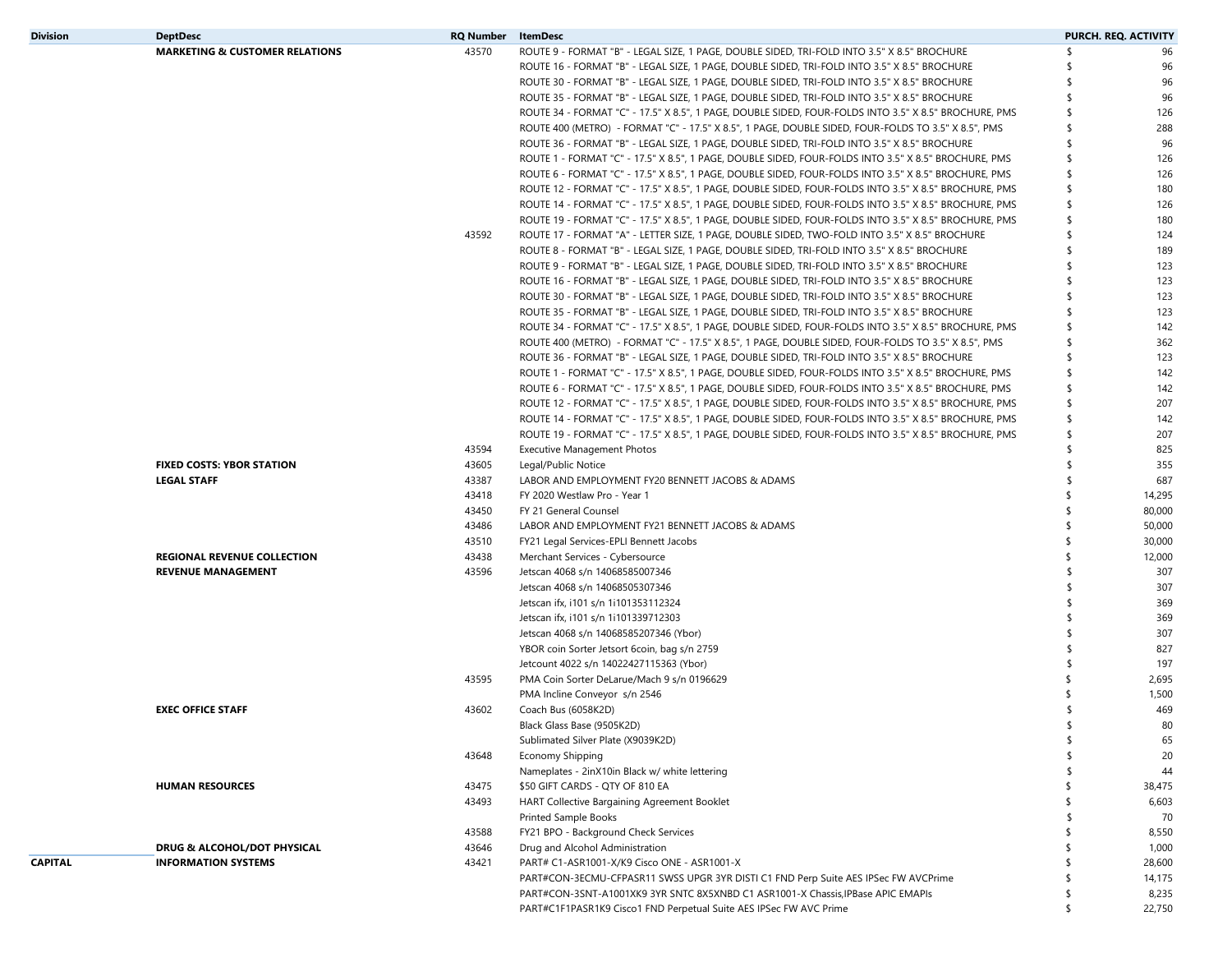| <b>Division</b> | <b>DeptDesc</b>                           | <b>RQ Number</b> | <b>ItemDesc</b>                                                                                       |     | PURCH. REQ. ACTIVITY |
|-----------------|-------------------------------------------|------------------|-------------------------------------------------------------------------------------------------------|-----|----------------------|
|                 | <b>MARKETING &amp; CUSTOMER RELATIONS</b> | 43570            | ROUTE 9 - FORMAT "B" - LEGAL SIZE, 1 PAGE, DOUBLE SIDED, TRI-FOLD INTO 3.5" X 8.5" BROCHURE           | ⊀   | 96                   |
|                 |                                           |                  | ROUTE 16 - FORMAT "B" - LEGAL SIZE, 1 PAGE, DOUBLE SIDED, TRI-FOLD INTO 3.5" X 8.5" BROCHURE          |     | 96                   |
|                 |                                           |                  | ROUTE 30 - FORMAT "B" - LEGAL SIZE, 1 PAGE, DOUBLE SIDED, TRI-FOLD INTO 3.5" X 8.5" BROCHURE          |     | 96                   |
|                 |                                           |                  | ROUTE 35 - FORMAT "B" - LEGAL SIZE, 1 PAGE, DOUBLE SIDED, TRI-FOLD INTO 3.5" X 8.5" BROCHURE          | S   | 96                   |
|                 |                                           |                  | ROUTE 34 - FORMAT "C" - 17.5" X 8.5", 1 PAGE, DOUBLE SIDED, FOUR-FOLDS INTO 3.5" X 8.5" BROCHURE, PMS | \$  | 126                  |
|                 |                                           |                  | ROUTE 400 (METRO) - FORMAT "C" - 17.5" X 8.5", 1 PAGE, DOUBLE SIDED, FOUR-FOLDS TO 3.5" X 8.5", PMS   | \$  | 288                  |
|                 |                                           |                  | ROUTE 36 - FORMAT "B" - LEGAL SIZE, 1 PAGE, DOUBLE SIDED, TRI-FOLD INTO 3.5" X 8.5" BROCHURE          | \$  | 96                   |
|                 |                                           |                  | ROUTE 1 - FORMAT "C" - 17.5" X 8.5", 1 PAGE, DOUBLE SIDED, FOUR-FOLDS INTO 3.5" X 8.5" BROCHURE, PMS  |     | 126                  |
|                 |                                           |                  | ROUTE 6 - FORMAT "C" - 17.5" X 8.5", 1 PAGE, DOUBLE SIDED, FOUR-FOLDS INTO 3.5" X 8.5" BROCHURE, PMS  | S   | 126                  |
|                 |                                           |                  | ROUTE 12 - FORMAT "C" - 17.5" X 8.5", 1 PAGE, DOUBLE SIDED, FOUR-FOLDS INTO 3.5" X 8.5" BROCHURE, PMS | \$  | 180                  |
|                 |                                           |                  | ROUTE 14 - FORMAT "C" - 17.5" X 8.5", 1 PAGE, DOUBLE SIDED, FOUR-FOLDS INTO 3.5" X 8.5" BROCHURE, PMS | S.  | 126                  |
|                 |                                           |                  | ROUTE 19 - FORMAT "C" - 17.5" X 8.5", 1 PAGE, DOUBLE SIDED, FOUR-FOLDS INTO 3.5" X 8.5" BROCHURE, PMS |     | 180                  |
|                 |                                           | 43592            | ROUTE 17 - FORMAT "A" - LETTER SIZE, 1 PAGE, DOUBLE SIDED, TWO-FOLD INTO 3.5" X 8.5" BROCHURE         | S   | 124                  |
|                 |                                           |                  | ROUTE 8 - FORMAT "B" - LEGAL SIZE, 1 PAGE, DOUBLE SIDED, TRI-FOLD INTO 3.5" X 8.5" BROCHURE           |     | 189                  |
|                 |                                           |                  | ROUTE 9 - FORMAT "B" - LEGAL SIZE, 1 PAGE, DOUBLE SIDED, TRI-FOLD INTO 3.5" X 8.5" BROCHURE           |     | 123                  |
|                 |                                           |                  | ROUTE 16 - FORMAT "B" - LEGAL SIZE, 1 PAGE, DOUBLE SIDED, TRI-FOLD INTO 3.5" X 8.5" BROCHURE          |     | 123                  |
|                 |                                           |                  |                                                                                                       |     |                      |
|                 |                                           |                  | ROUTE 30 - FORMAT "B" - LEGAL SIZE, 1 PAGE, DOUBLE SIDED, TRI-FOLD INTO 3.5" X 8.5" BROCHURE          |     | 123                  |
|                 |                                           |                  | ROUTE 35 - FORMAT "B" - LEGAL SIZE, 1 PAGE, DOUBLE SIDED, TRI-FOLD INTO 3.5" X 8.5" BROCHURE          | S   | 123                  |
|                 |                                           |                  | ROUTE 34 - FORMAT "C" - 17.5" X 8.5", 1 PAGE, DOUBLE SIDED, FOUR-FOLDS INTO 3.5" X 8.5" BROCHURE, PMS |     | 142                  |
|                 |                                           |                  | ROUTE 400 (METRO) - FORMAT "C" - 17.5" X 8.5", 1 PAGE, DOUBLE SIDED, FOUR-FOLDS TO 3.5" X 8.5", PMS   | ≮   | 362                  |
|                 |                                           |                  | ROUTE 36 - FORMAT "B" - LEGAL SIZE, 1 PAGE, DOUBLE SIDED, TRI-FOLD INTO 3.5" X 8.5" BROCHURE          | \$  | 123                  |
|                 |                                           |                  | ROUTE 1 - FORMAT "C" - 17.5" X 8.5", 1 PAGE, DOUBLE SIDED, FOUR-FOLDS INTO 3.5" X 8.5" BROCHURE, PMS  | \$  | 142                  |
|                 |                                           |                  | ROUTE 6 - FORMAT "C" - 17.5" X 8.5", 1 PAGE, DOUBLE SIDED, FOUR-FOLDS INTO 3.5" X 8.5" BROCHURE, PMS  | S   | 142                  |
|                 |                                           |                  | ROUTE 12 - FORMAT "C" - 17.5" X 8.5", 1 PAGE, DOUBLE SIDED, FOUR-FOLDS INTO 3.5" X 8.5" BROCHURE, PMS | \$  | 207                  |
|                 |                                           |                  | ROUTE 14 - FORMAT "C" - 17.5" X 8.5", 1 PAGE, DOUBLE SIDED, FOUR-FOLDS INTO 3.5" X 8.5" BROCHURE, PMS | S.  | 142                  |
|                 |                                           |                  | ROUTE 19 - FORMAT "C" - 17.5" X 8.5", 1 PAGE, DOUBLE SIDED, FOUR-FOLDS INTO 3.5" X 8.5" BROCHURE, PMS |     | 207                  |
|                 |                                           | 43594            | <b>Executive Management Photos</b>                                                                    | \$  | 825                  |
|                 | <b>FIXED COSTS: YBOR STATION</b>          | 43605            | Legal/Public Notice                                                                                   |     | 355                  |
|                 | <b>LEGAL STAFF</b>                        | 43387            | LABOR AND EMPLOYMENT FY20 BENNETT JACOBS & ADAMS                                                      | \$  | 687                  |
|                 |                                           | 43418            | FY 2020 Westlaw Pro - Year 1                                                                          | \$  | 14,295               |
|                 |                                           | 43450            | FY 21 General Counsel                                                                                 | \$  | 80,000               |
|                 |                                           | 43486            | LABOR AND EMPLOYMENT FY21 BENNETT JACOBS & ADAMS                                                      | . ና | 50,000               |
|                 |                                           | 43510            | FY21 Legal Services-EPLI Bennett Jacobs                                                               |     | 30,000               |
|                 | <b>REGIONAL REVENUE COLLECTION</b>        | 43438            | Merchant Services - Cybersource                                                                       |     | 12,000               |
|                 | <b>REVENUE MANAGEMENT</b>                 | 43596            | Jetscan 4068 s/n 14068585007346                                                                       |     | 307                  |
|                 |                                           |                  | Jetscan 4068 s/n 14068505307346                                                                       |     | 307                  |
|                 |                                           |                  | Jetscan ifx, i101 s/n 1i101353112324                                                                  |     | 369                  |
|                 |                                           |                  | Jetscan ifx, i101 s/n 1i101339712303                                                                  |     | 369                  |
|                 |                                           |                  | Jetscan 4068 s/n 14068585207346 (Ybor)                                                                |     | 307                  |
|                 |                                           |                  | YBOR coin Sorter Jetsort 6coin, bag s/n 2759                                                          |     | 827                  |
|                 |                                           |                  | Jetcount 4022 s/n 14022427115363 (Ybor)                                                               |     | 197                  |
|                 |                                           | 43595            | PMA Coin Sorter DeLarue/Mach 9 s/n 0196629                                                            |     | 2,695                |
|                 |                                           |                  | PMA Incline Conveyor s/n 2546                                                                         |     | 1,500                |
|                 | <b>EXEC OFFICE STAFF</b>                  | 43602            | Coach Bus (6058K2D)                                                                                   |     | 469                  |
|                 |                                           |                  | Black Glass Base (9505K2D)                                                                            |     | 80                   |
|                 |                                           |                  | Sublimated Silver Plate (X9039K2D)                                                                    | S.  | 65                   |
|                 |                                           | 43648            | Economy Shipping                                                                                      |     | 20                   |
|                 |                                           |                  | Nameplates - 2inX10in Black w/ white lettering                                                        |     | 44                   |
|                 | <b>HUMAN RESOURCES</b>                    | 43475            | \$50 GIFT CARDS - QTY OF 810 EA                                                                       |     | 38,475               |
|                 |                                           | 43493            | HART Collective Bargaining Agreement Booklet                                                          |     | 6,603                |
|                 |                                           |                  |                                                                                                       |     |                      |
|                 |                                           |                  | <b>Printed Sample Books</b>                                                                           |     | 70                   |
|                 |                                           | 43588            | FY21 BPO - Background Check Services                                                                  |     | 8,550                |
|                 | DRUG & ALCOHOL/DOT PHYSICAL               | 43646            | Drug and Alcohol Administration                                                                       | -\$ | 1,000                |
| <b>CAPITAL</b>  | <b>INFORMATION SYSTEMS</b>                | 43421            | PART# C1-ASR1001-X/K9 Cisco ONE - ASR1001-X                                                           |     | 28,600               |
|                 |                                           |                  | PART#CON-3ECMU-CFPASR11 SWSS UPGR 3YR DISTI C1 FND Perp Suite AES IPSec FW AVCPrime                   |     | 14,175               |
|                 |                                           |                  | PART#CON-3SNT-A1001XK9 3YR SNTC 8X5XNBD C1 ASR1001-X Chassis, IPBase APIC EMAPIs                      | S   | 8,235                |
|                 |                                           |                  | PART#C1F1PASR1K9 Cisco1 FND Perpetual Suite AES IPSec FW AVC Prime                                    | \$  | 22,750               |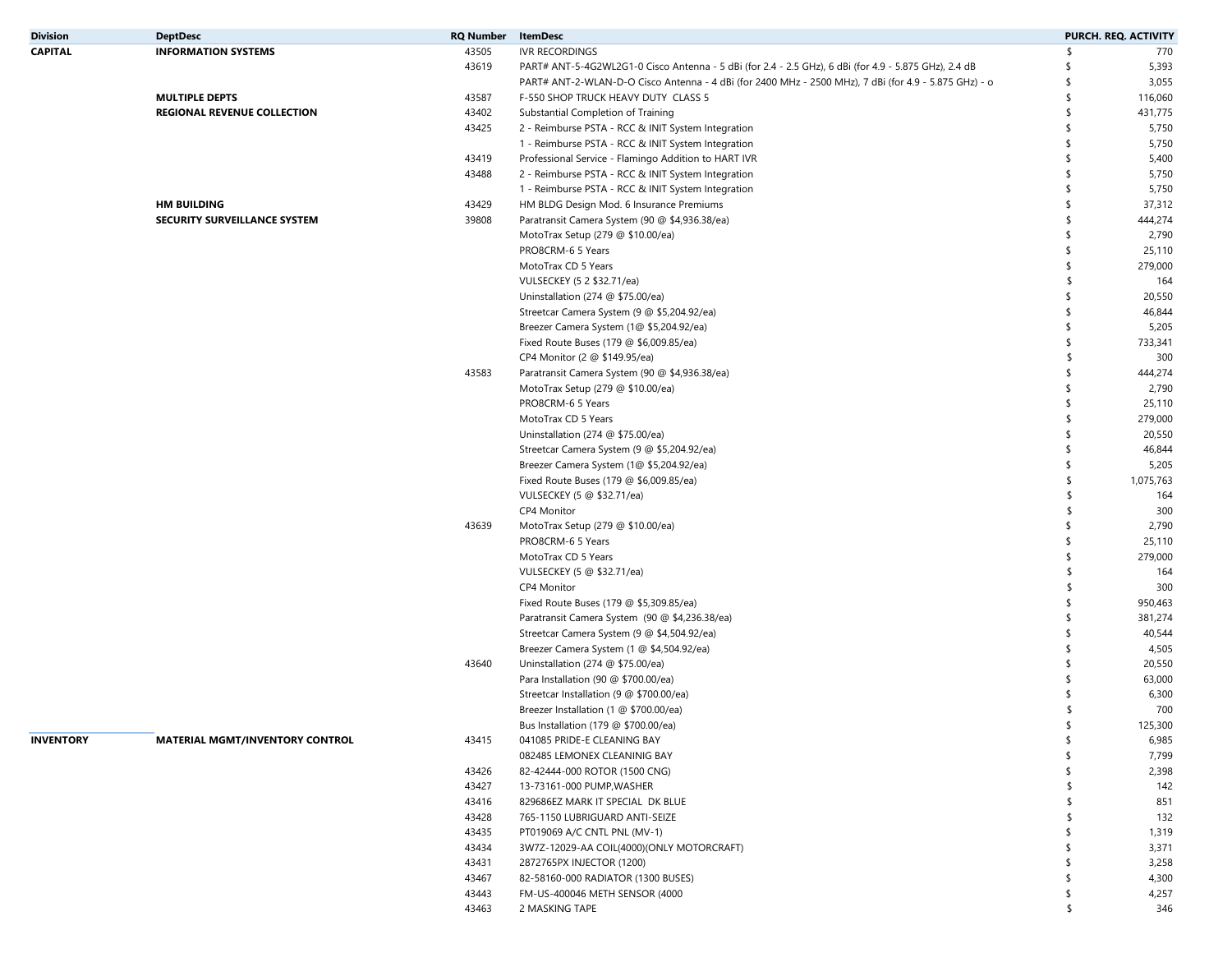| <b>Division</b>  | <b>DeptDesc</b>                        | <b>RQ Number</b> | <b>ItemDesc</b>                                                                                       |    | PURCH. REQ. ACTIVITY |
|------------------|----------------------------------------|------------------|-------------------------------------------------------------------------------------------------------|----|----------------------|
| <b>CAPITAL</b>   | <b>INFORMATION SYSTEMS</b>             | 43505            | IVR RECORDINGS                                                                                        | \$ | 770                  |
|                  |                                        | 43619            | PART# ANT-5-4G2WL2G1-0 Cisco Antenna - 5 dBi (for 2.4 - 2.5 GHz), 6 dBi (for 4.9 - 5.875 GHz), 2.4 dB | £  | 5,393                |
|                  |                                        |                  | PART# ANT-2-WLAN-D-O Cisco Antenna - 4 dBi (for 2400 MHz - 2500 MHz), 7 dBi (for 4.9 - 5.875 GHz) - o | S  | 3,055                |
|                  | <b>MULTIPLE DEPTS</b>                  | 43587            | F-550 SHOP TRUCK HEAVY DUTY CLASS 5                                                                   | \$ | 116,060              |
|                  | REGIONAL REVENUE COLLECTION            | 43402            | Substantial Completion of Training                                                                    | \$ | 431,775              |
|                  |                                        | 43425            | 2 - Reimburse PSTA - RCC & INIT System Integration                                                    | \$ | 5,750                |
|                  |                                        |                  | 1 - Reimburse PSTA - RCC & INIT System Integration                                                    | \$ | 5,750                |
|                  |                                        | 43419            | Professional Service - Flamingo Addition to HART IVR                                                  | \$ | 5,400                |
|                  |                                        | 43488            | 2 - Reimburse PSTA - RCC & INIT System Integration                                                    | \$ | 5,750                |
|                  |                                        |                  | 1 - Reimburse PSTA - RCC & INIT System Integration                                                    | \$ | 5,750                |
|                  | <b>HM BUILDING</b>                     | 43429            | HM BLDG Design Mod. 6 Insurance Premiums                                                              | \$ | 37,312               |
|                  | SECURITY SURVEILLANCE SYSTEM           | 39808            | Paratransit Camera System (90 @ \$4,936.38/ea)                                                        | \$ | 444,274              |
|                  |                                        |                  | MotoTrax Setup (279 @ \$10.00/ea)                                                                     | \$ | 2,790                |
|                  |                                        |                  | PRO8CRM-6 5 Years                                                                                     | \$ | 25,110               |
|                  |                                        |                  | MotoTrax CD 5 Years                                                                                   | \$ |                      |
|                  |                                        |                  | VULSECKEY (5 2 \$32.71/ea)                                                                            | \$ | 279,000<br>164       |
|                  |                                        |                  |                                                                                                       |    |                      |
|                  |                                        |                  | Uninstallation (274 @ \$75.00/ea)                                                                     | \$ | 20,550               |
|                  |                                        |                  | Streetcar Camera System (9 @ \$5,204.92/ea)                                                           | \$ | 46,844               |
|                  |                                        |                  | Breezer Camera System (1@ \$5,204.92/ea)                                                              | \$ | 5,205                |
|                  |                                        |                  | Fixed Route Buses (179 @ \$6,009.85/ea)                                                               | \$ | 733,341              |
|                  |                                        |                  | CP4 Monitor (2 @ \$149.95/ea)                                                                         | \$ | 300                  |
|                  |                                        | 43583            | Paratransit Camera System (90 @ \$4,936.38/ea)                                                        | \$ | 444,274              |
|                  |                                        |                  | MotoTrax Setup (279 @ \$10.00/ea)                                                                     | \$ | 2,790                |
|                  |                                        |                  | PRO8CRM-6 5 Years                                                                                     | \$ | 25,110               |
|                  |                                        |                  | MotoTrax CD 5 Years                                                                                   | \$ | 279,000              |
|                  |                                        |                  | Uninstallation (274 @ \$75.00/ea)                                                                     | \$ | 20,550               |
|                  |                                        |                  | Streetcar Camera System (9 @ \$5,204.92/ea)                                                           | \$ | 46,844               |
|                  |                                        |                  | Breezer Camera System (1@ \$5,204.92/ea)                                                              | \$ | 5,205                |
|                  |                                        |                  | Fixed Route Buses (179 @ \$6,009.85/ea)                                                               | \$ | 1,075,763            |
|                  |                                        |                  | VULSECKEY (5 @ \$32.71/ea)                                                                            | \$ | 164                  |
|                  |                                        |                  | CP4 Monitor                                                                                           | \$ | 300                  |
|                  |                                        | 43639            | MotoTrax Setup (279 @ \$10.00/ea)                                                                     | \$ | 2,790                |
|                  |                                        |                  | PRO8CRM-6 5 Years                                                                                     | \$ | 25,110               |
|                  |                                        |                  | MotoTrax CD 5 Years                                                                                   | \$ | 279,000              |
|                  |                                        |                  | VULSECKEY (5 @ \$32.71/ea)                                                                            | \$ | 164                  |
|                  |                                        |                  | CP4 Monitor                                                                                           | \$ | 300                  |
|                  |                                        |                  | Fixed Route Buses (179 @ \$5,309.85/ea)                                                               | \$ | 950,463              |
|                  |                                        |                  | Paratransit Camera System (90 @ \$4,236.38/ea)                                                        | \$ | 381,274              |
|                  |                                        |                  | Streetcar Camera System (9 @ \$4,504.92/ea)                                                           | \$ | 40,544               |
|                  |                                        |                  | Breezer Camera System (1 @ \$4,504.92/ea)                                                             | \$ | 4,505                |
|                  |                                        | 43640            | Uninstallation (274 @ \$75.00/ea)                                                                     | \$ | 20,550               |
|                  |                                        |                  | Para Installation (90 @ \$700.00/ea)                                                                  | \$ | 63,000               |
|                  |                                        |                  | Streetcar Installation (9 @ \$700.00/ea)                                                              |    | 6,300                |
|                  |                                        |                  | Breezer Installation (1 @ \$700.00/ea)                                                                |    | 700                  |
|                  |                                        |                  | Bus Installation (179 @ \$700.00/ea)                                                                  |    | 125,300              |
|                  |                                        |                  |                                                                                                       |    |                      |
| <b>INVENTORY</b> | <b>MATERIAL MGMT/INVENTORY CONTROL</b> | 43415            | 041085 PRIDE-E CLEANING BAY                                                                           | \$ | 6,985                |
|                  |                                        |                  | 082485 LEMONEX CLEANINIG BAY                                                                          | \$ | 7,799                |
|                  |                                        | 43426            | 82-42444-000 ROTOR (1500 CNG)                                                                         | \$ | 2,398                |
|                  |                                        | 43427            | 13-73161-000 PUMP, WASHER                                                                             | S  | 142                  |
|                  |                                        | 43416            | 829686EZ MARK IT SPECIAL DK BLUE                                                                      |    | 851                  |
|                  |                                        | 43428            | 765-1150 LUBRIGUARD ANTI-SEIZE                                                                        |    | 132                  |
|                  |                                        | 43435            | PT019069 A/C CNTL PNL (MV-1)                                                                          |    | 1,319                |
|                  |                                        | 43434            | 3W7Z-12029-AA COIL(4000)(ONLY MOTORCRAFT)                                                             | \$ | 3,371                |
|                  |                                        | 43431            | 2872765PX INJECTOR (1200)                                                                             | \$ | 3,258                |
|                  |                                        | 43467            | 82-58160-000 RADIATOR (1300 BUSES)                                                                    | S  | 4,300                |
|                  |                                        | 43443            | FM-US-400046 METH SENSOR (4000                                                                        | S  | 4,257                |
|                  |                                        | 43463            | 2 MASKING TAPE                                                                                        | \$ | 346                  |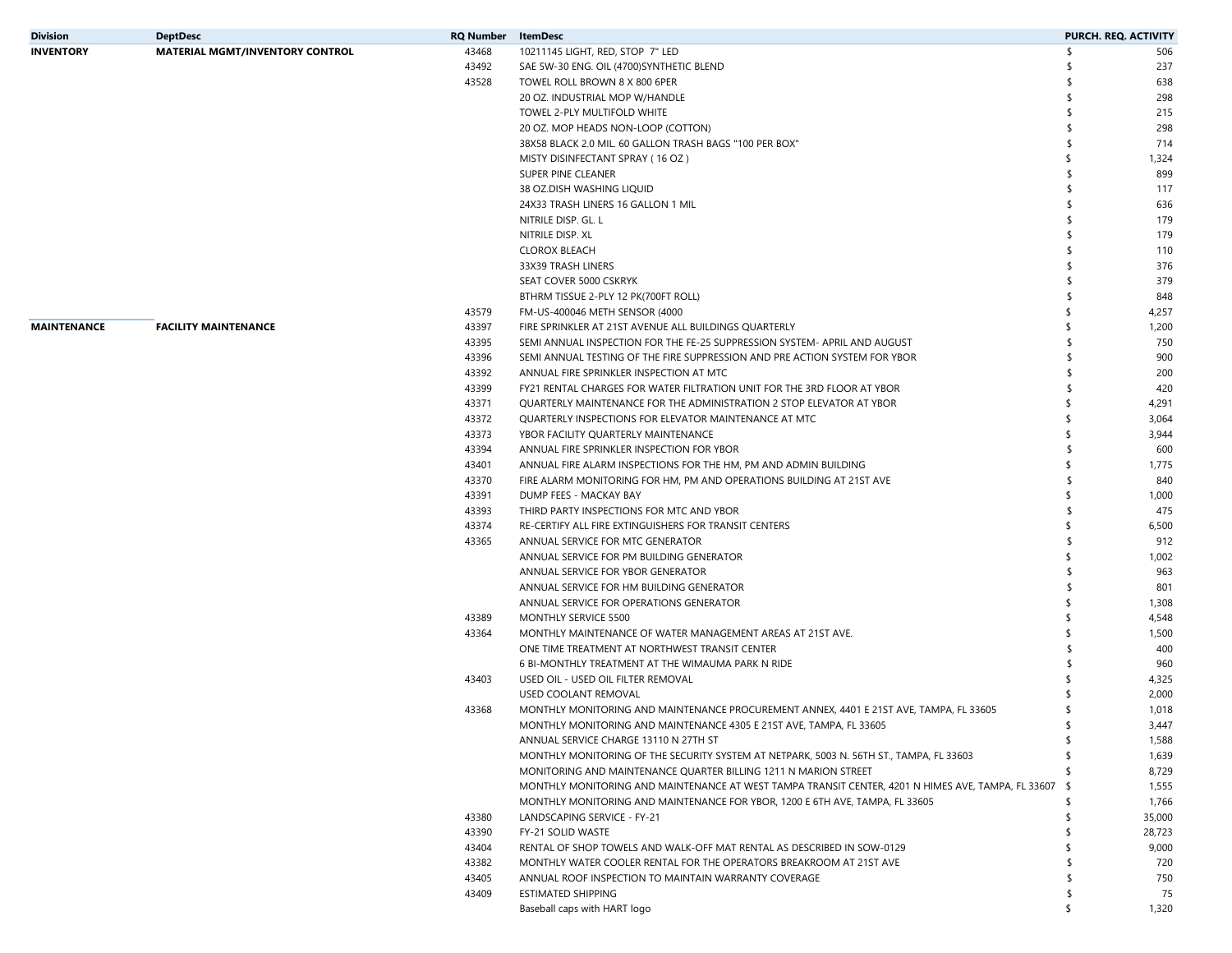| <b>Division</b>    | <b>DeptDesc</b>                        | <b>RQ Number</b> | ItemDesc                                                                                              | PURCH. REQ. ACTIVITY |        |
|--------------------|----------------------------------------|------------------|-------------------------------------------------------------------------------------------------------|----------------------|--------|
| <b>INVENTORY</b>   | <b>MATERIAL MGMT/INVENTORY CONTROL</b> | 43468            | 10211145 LIGHT, RED, STOP 7" LED                                                                      |                      | 506    |
|                    |                                        | 43492            | SAE 5W-30 ENG. OIL (4700) SYNTHETIC BLEND                                                             |                      | 237    |
|                    |                                        | 43528            | TOWEL ROLL BROWN 8 X 800 6PER                                                                         |                      | 638    |
|                    |                                        |                  | 20 OZ. INDUSTRIAL MOP W/HANDLE                                                                        |                      | 298    |
|                    |                                        |                  | TOWEL 2-PLY MULTIFOLD WHITE                                                                           |                      | 215    |
|                    |                                        |                  | 20 OZ. MOP HEADS NON-LOOP (COTTON)                                                                    |                      | 298    |
|                    |                                        |                  | 38X58 BLACK 2.0 MIL. 60 GALLON TRASH BAGS "100 PER BOX"                                               |                      | 714    |
|                    |                                        |                  | MISTY DISINFECTANT SPRAY (16 OZ)                                                                      |                      | 1,324  |
|                    |                                        |                  | SUPER PINE CLEANER                                                                                    |                      | 899    |
|                    |                                        |                  | 38 OZ.DISH WASHING LIOUID                                                                             |                      | 117    |
|                    |                                        |                  | 24X33 TRASH LINERS 16 GALLON 1 MIL                                                                    |                      | 636    |
|                    |                                        |                  | NITRILE DISP. GL. L                                                                                   |                      | 179    |
|                    |                                        |                  | NITRILE DISP. XL                                                                                      |                      | 179    |
|                    |                                        |                  | <b>CLOROX BLEACH</b>                                                                                  |                      | 110    |
|                    |                                        |                  | 33X39 TRASH LINERS                                                                                    |                      | 376    |
|                    |                                        |                  | SEAT COVER 5000 CSKRYK                                                                                |                      | 379    |
|                    |                                        |                  | BTHRM TISSUE 2-PLY 12 PK(700FT ROLL)                                                                  |                      | 848    |
|                    |                                        | 43579            | FM-US-400046 METH SENSOR (4000                                                                        |                      | 4,257  |
| <b>MAINTENANCE</b> | <b>FACILITY MAINTENANCE</b>            | 43397            | FIRE SPRINKLER AT 21ST AVENUE ALL BUILDINGS QUARTERLY                                                 |                      | 1,200  |
|                    |                                        | 43395            | SEMI ANNUAL INSPECTION FOR THE FE-25 SUPPRESSION SYSTEM- APRIL AND AUGUST                             |                      | 750    |
|                    |                                        | 43396            | SEMI ANNUAL TESTING OF THE FIRE SUPPRESSION AND PRE ACTION SYSTEM FOR YBOR                            |                      | 900    |
|                    |                                        | 43392            | ANNUAL FIRE SPRINKLER INSPECTION AT MTC                                                               |                      | 200    |
|                    |                                        | 43399            | FY21 RENTAL CHARGES FOR WATER FILTRATION UNIT FOR THE 3RD FLOOR AT YBOR                               |                      | 420    |
|                    |                                        | 43371            | OUARTERLY MAINTENANCE FOR THE ADMINISTRATION 2 STOP ELEVATOR AT YBOR                                  |                      | 4,291  |
|                    |                                        | 43372            | QUARTERLY INSPECTIONS FOR ELEVATOR MAINTENANCE AT MTC                                                 |                      | 3,064  |
|                    |                                        | 43373            | YBOR FACILITY QUARTERLY MAINTENANCE                                                                   |                      | 3,944  |
|                    |                                        | 43394            | ANNUAL FIRE SPRINKLER INSPECTION FOR YBOR                                                             |                      | 600    |
|                    |                                        | 43401            | ANNUAL FIRE ALARM INSPECTIONS FOR THE HM, PM AND ADMIN BUILDING                                       |                      | 1,775  |
|                    |                                        | 43370            | FIRE ALARM MONITORING FOR HM, PM AND OPERATIONS BUILDING AT 21ST AVE                                  |                      | 840    |
|                    |                                        | 43391            | DUMP FEES - MACKAY BAY                                                                                |                      | 1,000  |
|                    |                                        | 43393            | THIRD PARTY INSPECTIONS FOR MTC AND YBOR                                                              |                      | 475    |
|                    |                                        | 43374            | RE-CERTIFY ALL FIRE EXTINGUISHERS FOR TRANSIT CENTERS                                                 |                      | 6,500  |
|                    |                                        | 43365            | ANNUAL SERVICE FOR MTC GENERATOR                                                                      |                      | 912    |
|                    |                                        |                  | ANNUAL SERVICE FOR PM BUILDING GENERATOR                                                              |                      | 1,002  |
|                    |                                        |                  | ANNUAL SERVICE FOR YBOR GENERATOR                                                                     |                      | 963    |
|                    |                                        |                  | ANNUAL SERVICE FOR HM BUILDING GENERATOR                                                              |                      | 801    |
|                    |                                        |                  | ANNUAL SERVICE FOR OPERATIONS GENERATOR                                                               |                      | 1,308  |
|                    |                                        | 43389            | MONTHLY SERVICE 5500                                                                                  |                      | 4,548  |
|                    |                                        | 43364            | MONTHLY MAINTENANCE OF WATER MANAGEMENT AREAS AT 21ST AVE.                                            |                      | 1,500  |
|                    |                                        |                  | ONE TIME TREATMENT AT NORTHWEST TRANSIT CENTER                                                        |                      | 400    |
|                    |                                        |                  | 6 BI-MONTHLY TREATMENT AT THE WIMAUMA PARK N RIDE                                                     |                      | 960    |
|                    |                                        | 43403            | USED OIL - USED OIL FILTER REMOVAL                                                                    |                      | 4,325  |
|                    |                                        |                  | USED COOLANT REMOVAL                                                                                  |                      | 2,000  |
|                    |                                        | 43368            | MONTHLY MONITORING AND MAINTENANCE PROCUREMENT ANNEX, 4401 E 21ST AVE, TAMPA, FL 33605                |                      | 1,018  |
|                    |                                        |                  | MONTHLY MONITORING AND MAINTENANCE 4305 E 21ST AVE, TAMPA, FL 33605                                   |                      | 3,447  |
|                    |                                        |                  | ANNUAL SERVICE CHARGE 13110 N 27TH ST                                                                 | S                    | 1,588  |
|                    |                                        |                  | MONTHLY MONITORING OF THE SECURITY SYSTEM AT NETPARK, 5003 N. 56TH ST., TAMPA, FL 33603               |                      | 1,639  |
|                    |                                        |                  | MONITORING AND MAINTENANCE QUARTER BILLING 1211 N MARION STREET                                       |                      | 8,729  |
|                    |                                        |                  | MONTHLY MONITORING AND MAINTENANCE AT WEST TAMPA TRANSIT CENTER, 4201 N HIMES AVE, TAMPA, FL 33607 \$ |                      | 1,555  |
|                    |                                        |                  | MONTHLY MONITORING AND MAINTENANCE FOR YBOR, 1200 E 6TH AVE, TAMPA, FL 33605                          | \$.                  | 1,766  |
|                    |                                        | 43380            | LANDSCAPING SERVICE - FY-21                                                                           | S                    | 35,000 |
|                    |                                        | 43390            | FY-21 SOLID WASTE                                                                                     |                      | 28,723 |
|                    |                                        | 43404            | RENTAL OF SHOP TOWELS AND WALK-OFF MAT RENTAL AS DESCRIBED IN SOW-0129                                |                      | 9,000  |
|                    |                                        | 43382            | MONTHLY WATER COOLER RENTAL FOR THE OPERATORS BREAKROOM AT 21ST AVE                                   |                      | 720    |
|                    |                                        | 43405            | ANNUAL ROOF INSPECTION TO MAINTAIN WARRANTY COVERAGE                                                  |                      | 750    |
|                    |                                        | 43409            | ESTIMATED SHIPPING                                                                                    |                      | 75     |
|                    |                                        |                  | Baseball caps with HART logo                                                                          | \$.                  | 1,320  |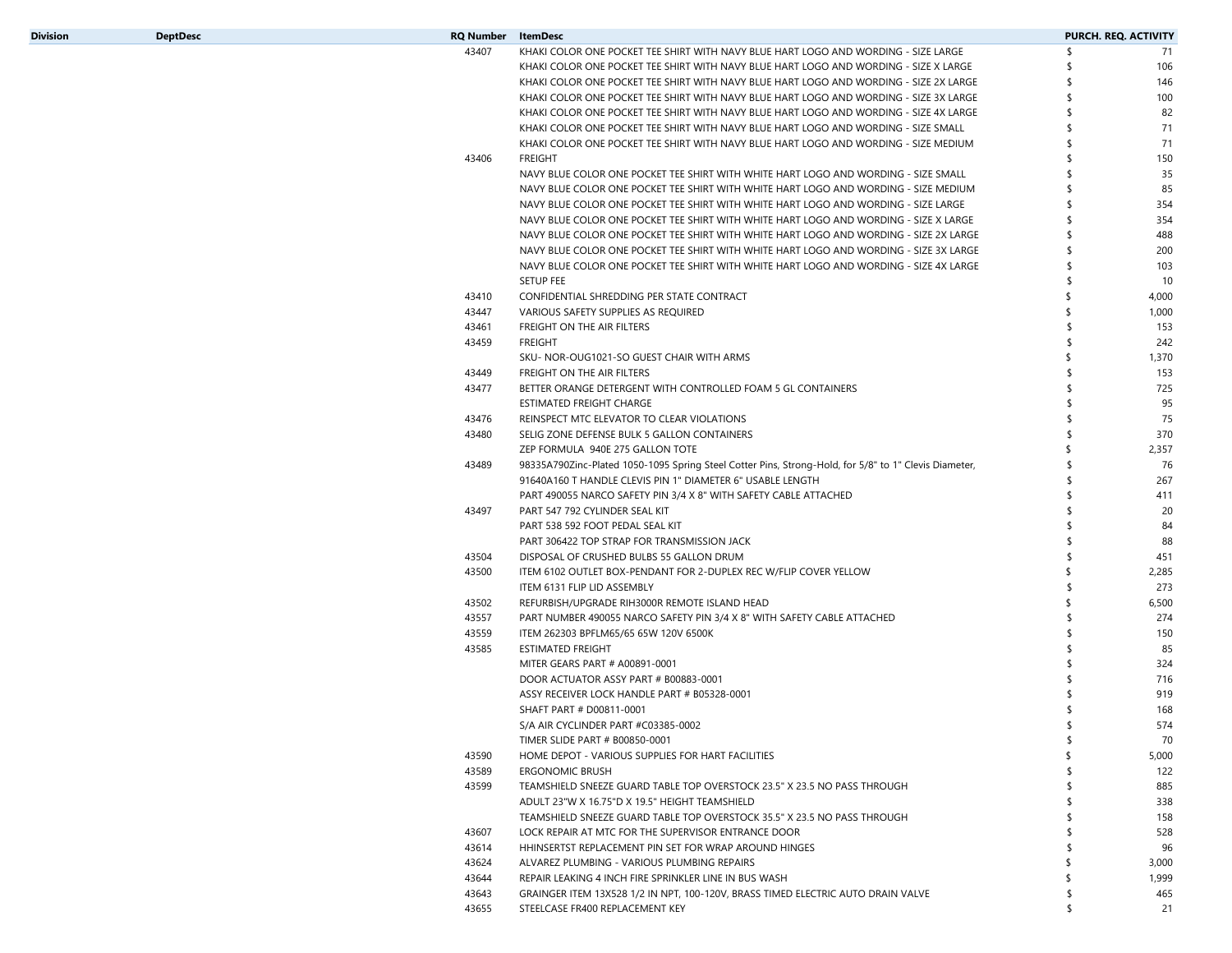| Division | <b>DeptDesc</b> | <b>RQ Number</b> ItemDesc |                                                                                                       | PURCH. REQ. ACTIVITY |
|----------|-----------------|---------------------------|-------------------------------------------------------------------------------------------------------|----------------------|
|          |                 | 43407                     | KHAKI COLOR ONE POCKET TEE SHIRT WITH NAVY BLUE HART LOGO AND WORDING - SIZE LARGE                    | \$<br>71             |
|          |                 |                           | KHAKI COLOR ONE POCKET TEE SHIRT WITH NAVY BLUE HART LOGO AND WORDING - SIZE X LARGE                  | 106                  |
|          |                 |                           | KHAKI COLOR ONE POCKET TEE SHIRT WITH NAVY BLUE HART LOGO AND WORDING - SIZE 2X LARGE                 | 146                  |
|          |                 |                           | KHAKI COLOR ONE POCKET TEE SHIRT WITH NAVY BLUE HART LOGO AND WORDING - SIZE 3X LARGE                 | 100                  |
|          |                 |                           | KHAKI COLOR ONE POCKET TEE SHIRT WITH NAVY BLUE HART LOGO AND WORDING - SIZE 4X LARGE                 | 82                   |
|          |                 |                           | KHAKI COLOR ONE POCKET TEE SHIRT WITH NAVY BLUE HART LOGO AND WORDING - SIZE SMALL                    | 71                   |
|          |                 |                           | KHAKI COLOR ONE POCKET TEE SHIRT WITH NAVY BLUE HART LOGO AND WORDING - SIZE MEDIUM                   | 71                   |
|          |                 | 43406                     | <b>FREIGHT</b>                                                                                        | 150                  |
|          |                 |                           | NAVY BLUE COLOR ONE POCKET TEE SHIRT WITH WHITE HART LOGO AND WORDING - SIZE SMALL                    | 35                   |
|          |                 |                           | NAVY BLUE COLOR ONE POCKET TEE SHIRT WITH WHITE HART LOGO AND WORDING - SIZE MEDIUM                   | 85                   |
|          |                 |                           | NAVY BLUE COLOR ONE POCKET TEE SHIRT WITH WHITE HART LOGO AND WORDING - SIZE LARGE                    | 354                  |
|          |                 |                           | NAVY BLUE COLOR ONE POCKET TEE SHIRT WITH WHITE HART LOGO AND WORDING - SIZE X LARGE                  | 354                  |
|          |                 |                           | NAVY BLUE COLOR ONE POCKET TEE SHIRT WITH WHITE HART LOGO AND WORDING - SIZE 2X LARGE                 | 488                  |
|          |                 |                           | NAVY BLUE COLOR ONE POCKET TEE SHIRT WITH WHITE HART LOGO AND WORDING - SIZE 3X LARGE                 | 200                  |
|          |                 |                           | NAVY BLUE COLOR ONE POCKET TEE SHIRT WITH WHITE HART LOGO AND WORDING - SIZE 4X LARGE                 | 103                  |
|          |                 |                           | <b>SETUP FEE</b>                                                                                      | 10                   |
|          |                 | 43410                     | CONFIDENTIAL SHREDDING PER STATE CONTRACT                                                             | 4,000                |
|          |                 | 43447                     | VARIOUS SAFETY SUPPLIES AS REQUIRED                                                                   | 1,000                |
|          |                 | 43461                     | FREIGHT ON THE AIR FILTERS                                                                            | 153                  |
|          |                 | 43459                     | <b>FREIGHT</b>                                                                                        | 242                  |
|          |                 |                           |                                                                                                       |                      |
|          |                 |                           | SKU- NOR-OUG1021-SO GUEST CHAIR WITH ARMS                                                             | 1,370                |
|          |                 | 43449                     | FREIGHT ON THE AIR FILTERS                                                                            | 153                  |
|          |                 | 43477                     | BETTER ORANGE DETERGENT WITH CONTROLLED FOAM 5 GL CONTAINERS                                          | 725                  |
|          |                 |                           | ESTIMATED FREIGHT CHARGE                                                                              | 95                   |
|          |                 | 43476                     | REINSPECT MTC ELEVATOR TO CLEAR VIOLATIONS                                                            | 75                   |
|          |                 | 43480                     | SELIG ZONE DEFENSE BULK 5 GALLON CONTAINERS                                                           | 370                  |
|          |                 |                           | ZEP FORMULA 940E 275 GALLON TOTE                                                                      | 2,357                |
|          |                 | 43489                     | 98335A790Zinc-Plated 1050-1095 Spring Steel Cotter Pins, Strong-Hold, for 5/8" to 1" Clevis Diameter, | 76                   |
|          |                 |                           | 91640A160 T HANDLE CLEVIS PIN 1" DIAMETER 6" USABLE LENGTH                                            | 267                  |
|          |                 |                           | PART 490055 NARCO SAFETY PIN 3/4 X 8" WITH SAFETY CABLE ATTACHED                                      | 411                  |
|          |                 | 43497                     | PART 547 792 CYLINDER SEAL KIT                                                                        | 20                   |
|          |                 |                           | PART 538 592 FOOT PEDAL SEAL KIT                                                                      | 84                   |
|          |                 |                           | PART 306422 TOP STRAP FOR TRANSMISSION JACK                                                           | 88                   |
|          |                 | 43504                     | DISPOSAL OF CRUSHED BULBS 55 GALLON DRUM                                                              | 451                  |
|          |                 | 43500                     | ITEM 6102 OUTLET BOX-PENDANT FOR 2-DUPLEX REC W/FLIP COVER YELLOW                                     | 2,285                |
|          |                 |                           | ITEM 6131 FLIP LID ASSEMBLY                                                                           | 273                  |
|          |                 | 43502                     | REFURBISH/UPGRADE RIH3000R REMOTE ISLAND HEAD                                                         | 6,500                |
|          |                 | 43557                     | PART NUMBER 490055 NARCO SAFETY PIN 3/4 X 8" WITH SAFETY CABLE ATTACHED                               | 274                  |
|          |                 | 43559                     | ITEM 262303 BPFLM65/65 65W 120V 6500K                                                                 | 150                  |
|          |                 | 43585                     | <b>ESTIMATED FREIGHT</b>                                                                              | 85                   |
|          |                 |                           | MITER GEARS PART # A00891-0001                                                                        | 324                  |
|          |                 |                           | DOOR ACTUATOR ASSY PART # B00883-0001                                                                 | 716                  |
|          |                 |                           | ASSY RECEIVER LOCK HANDLE PART # B05328-0001                                                          | 919                  |
|          |                 |                           | SHAFT PART # D00811-0001                                                                              | 168                  |
|          |                 |                           | S/A AIR CYCLINDER PART #C03385-0002                                                                   | \$<br>574            |
|          |                 |                           | TIMER SLIDE PART # B00850-0001                                                                        | \$<br>70             |
|          |                 | 43590                     | HOME DEPOT - VARIOUS SUPPLIES FOR HART FACILITIES                                                     | 5,000                |
|          |                 |                           |                                                                                                       |                      |
|          |                 | 43589<br>43599            | ERGONOMIC BRUSH<br>TEAMSHIELD SNEEZE GUARD TABLE TOP OVERSTOCK 23.5" X 23.5 NO PASS THROUGH           | 122<br>885           |
|          |                 |                           |                                                                                                       |                      |
|          |                 |                           | ADULT 23"W X 16.75"D X 19.5" HEIGHT TEAMSHIELD                                                        | 338                  |
|          |                 |                           | TEAMSHIELD SNEEZE GUARD TABLE TOP OVERSTOCK 35.5" X 23.5 NO PASS THROUGH                              | 158                  |
|          |                 | 43607                     | LOCK REPAIR AT MTC FOR THE SUPERVISOR ENTRANCE DOOR                                                   | 528                  |
|          |                 | 43614                     | HHINSERTST REPLACEMENT PIN SET FOR WRAP AROUND HINGES                                                 | 96                   |
|          |                 | 43624                     | ALVAREZ PLUMBING - VARIOUS PLUMBING REPAIRS                                                           | 3,000                |
|          |                 | 43644                     | REPAIR LEAKING 4 INCH FIRE SPRINKLER LINE IN BUS WASH                                                 | 1,999                |
|          |                 |                           |                                                                                                       |                      |
|          |                 | 43643                     | GRAINGER ITEM 13X528 1/2 IN NPT, 100-120V, BRASS TIMED ELECTRIC AUTO DRAIN VALVE                      | \$<br>465            |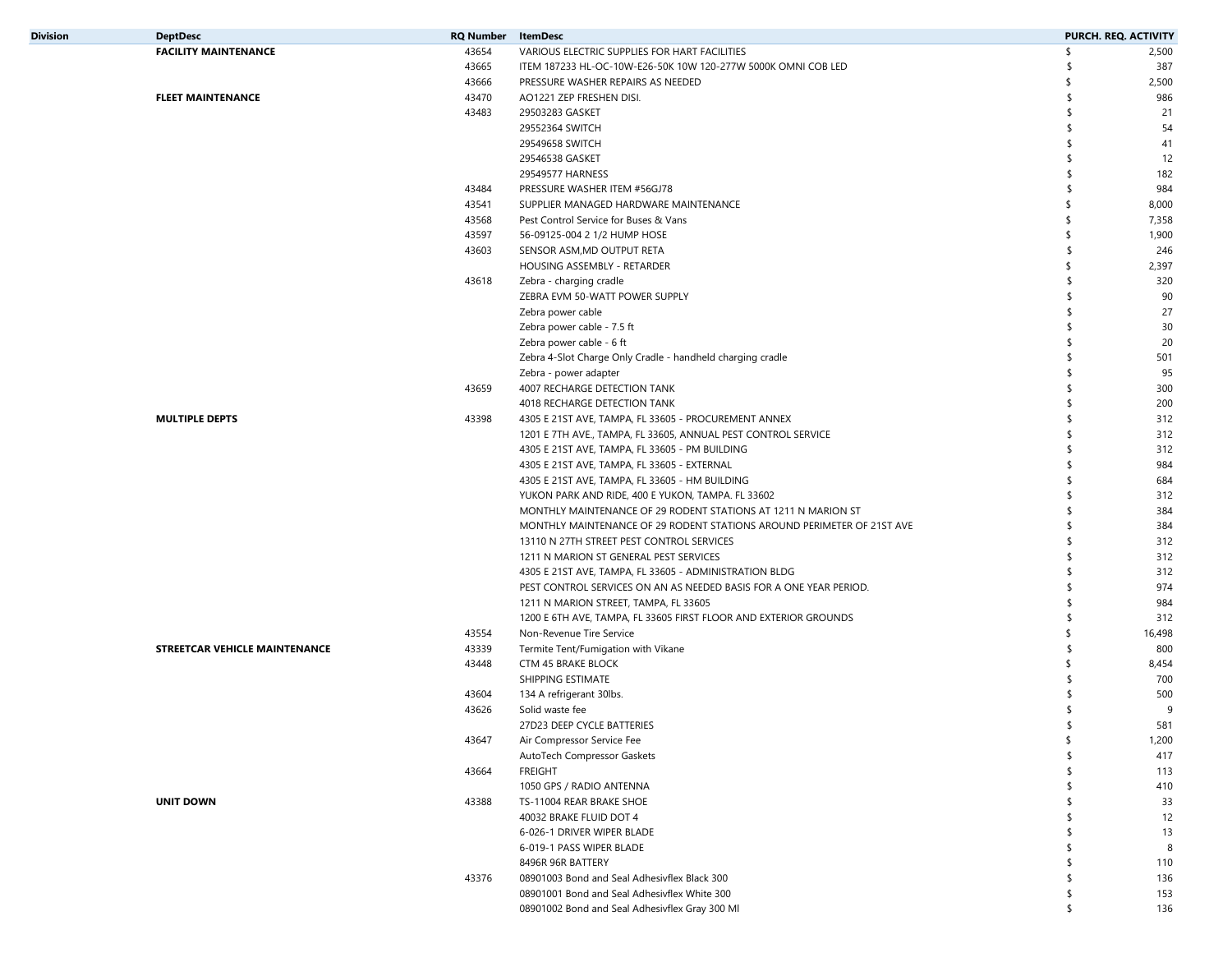| Division | <b>DeptDesc</b>               | <b>RQ Number</b> | <b>ItemDesc</b>                                                        |               | PURCH. REQ. ACTIVITY |
|----------|-------------------------------|------------------|------------------------------------------------------------------------|---------------|----------------------|
|          | <b>FACILITY MAINTENANCE</b>   | 43654            | VARIOUS ELECTRIC SUPPLIES FOR HART FACILITIES                          | \$            | 2,500                |
|          |                               | 43665            | ITEM 187233 HL-OC-10W-E26-50K 10W 120-277W 5000K OMNI COB LED          | -\$           | 387                  |
|          |                               | 43666            | PRESSURE WASHER REPAIRS AS NEEDED                                      | \$            | 2,500                |
|          | <b>FLEET MAINTENANCE</b>      | 43470            | AO1221 ZEP FRESHEN DISI.                                               | \$            | 986                  |
|          |                               | 43483            | 29503283 GASKET                                                        | \$            | 21                   |
|          |                               |                  | 29552364 SWITCH                                                        | \$            | 54                   |
|          |                               |                  | 29549658 SWITCH                                                        | \$            | 41                   |
|          |                               |                  | 29546538 GASKET                                                        |               | 12                   |
|          |                               |                  | 29549577 HARNESS                                                       |               | 182                  |
|          |                               | 43484            | PRESSURE WASHER ITEM #56GJ78                                           | -\$           | 984                  |
|          |                               | 43541            | SUPPLIER MANAGED HARDWARE MAINTENANCE                                  | \$            | 8,000                |
|          |                               | 43568            | Pest Control Service for Buses & Vans                                  | \$            | 7,358                |
|          |                               | 43597            | 56-09125-004 2 1/2 HUMP HOSE                                           | \$            | 1,900                |
|          |                               | 43603            | SENSOR ASM, MD OUTPUT RETA                                             | -\$           | 246                  |
|          |                               |                  | HOUSING ASSEMBLY - RETARDER                                            | \$            | 2,397                |
|          |                               | 43618            | Zebra - charging cradle                                                | \$            | 320                  |
|          |                               |                  | ZEBRA EVM 50-WATT POWER SUPPLY                                         | \$            | 90                   |
|          |                               |                  | Zebra power cable                                                      | -\$           | 27                   |
|          |                               |                  | Zebra power cable - 7.5 ft                                             |               | 30                   |
|          |                               |                  |                                                                        |               | 20                   |
|          |                               |                  | Zebra power cable - 6 ft                                               | -\$           |                      |
|          |                               |                  | Zebra 4-Slot Charge Only Cradle - handheld charging cradle             |               | 501                  |
|          |                               |                  | Zebra - power adapter                                                  |               | 95                   |
|          |                               | 43659            | 4007 RECHARGE DETECTION TANK                                           | -\$           | 300                  |
|          |                               |                  | 4018 RECHARGE DETECTION TANK                                           | -\$           | 200                  |
|          | <b>MULTIPLE DEPTS</b>         | 43398            | 4305 E 21ST AVE, TAMPA, FL 33605 - PROCUREMENT ANNEX                   | \$            | 312                  |
|          |                               |                  | 1201 E 7TH AVE., TAMPA, FL 33605, ANNUAL PEST CONTROL SERVICE          |               | 312                  |
|          |                               |                  | 4305 E 21ST AVE, TAMPA, FL 33605 - PM BUILDING                         | -\$           | 312                  |
|          |                               |                  | 4305 E 21ST AVE, TAMPA, FL 33605 - EXTERNAL                            | \$            | 984                  |
|          |                               |                  | 4305 E 21ST AVE, TAMPA, FL 33605 - HM BUILDING                         | \$            | 684                  |
|          |                               |                  | YUKON PARK AND RIDE, 400 E YUKON, TAMPA. FL 33602                      | \$            | 312                  |
|          |                               |                  | MONTHLY MAINTENANCE OF 29 RODENT STATIONS AT 1211 N MARION ST          | \$            | 384                  |
|          |                               |                  | MONTHLY MAINTENANCE OF 29 RODENT STATIONS AROUND PERIMETER OF 21ST AVE | -\$           | 384                  |
|          |                               |                  | 13110 N 27TH STREET PEST CONTROL SERVICES                              |               | 312                  |
|          |                               |                  | 1211 N MARION ST GENERAL PEST SERVICES                                 |               | 312                  |
|          |                               |                  | 4305 E 21ST AVE, TAMPA, FL 33605 - ADMINISTRATION BLDG                 | $\mathsf{\$}$ | 312                  |
|          |                               |                  | PEST CONTROL SERVICES ON AN AS NEEDED BASIS FOR A ONE YEAR PERIOD.     |               | 974                  |
|          |                               |                  | 1211 N MARION STREET, TAMPA, FL 33605                                  |               | 984                  |
|          |                               |                  | 1200 E 6TH AVE, TAMPA, FL 33605 FIRST FLOOR AND EXTERIOR GROUNDS       | \$            | 312                  |
|          |                               | 43554            | Non-Revenue Tire Service                                               | \$            | 16,498               |
|          | STREETCAR VEHICLE MAINTENANCE | 43339            | Termite Tent/Fumigation with Vikane                                    | $\mathsf{\$}$ | 800                  |
|          |                               | 43448            | CTM 45 BRAKE BLOCK                                                     |               | 8,454                |
|          |                               |                  | SHIPPING ESTIMATE                                                      |               | 700                  |
|          |                               | 43604            | 134 A refrigerant 30lbs.                                               |               | 500                  |
|          |                               | 43626            | Solid waste fee                                                        |               | 9                    |
|          |                               |                  | 27D23 DEEP CYCLE BATTERIES                                             |               | 581                  |
|          |                               | 43647            | Air Compressor Service Fee                                             | \$            | 1,200                |
|          |                               |                  | AutoTech Compressor Gaskets                                            | \$            | 417                  |
|          |                               | 43664            | <b>FREIGHT</b>                                                         | \$            | 113                  |
|          |                               |                  | 1050 GPS / RADIO ANTENNA                                               | \$            | 410                  |
|          | <b>UNIT DOWN</b>              | 43388            | TS-11004 REAR BRAKE SHOE                                               | -\$           | 33                   |
|          |                               |                  | 40032 BRAKE FLUID DOT 4                                                |               | 12                   |
|          |                               |                  | 6-026-1 DRIVER WIPER BLADE                                             | \$            | 13                   |
|          |                               |                  | 6-019-1 PASS WIPER BLADE                                               | \$            | 8                    |
|          |                               |                  |                                                                        | \$            |                      |
|          |                               |                  | 8496R 96R BATTERY                                                      |               | 110                  |
|          |                               | 43376            | 08901003 Bond and Seal Adhesivflex Black 300                           | \$            | 136                  |
|          |                               |                  | 08901001 Bond and Seal Adhesivflex White 300                           | \$            | 153                  |
|          |                               |                  | 08901002 Bond and Seal Adhesivflex Gray 300 Ml                         | \$            | 136                  |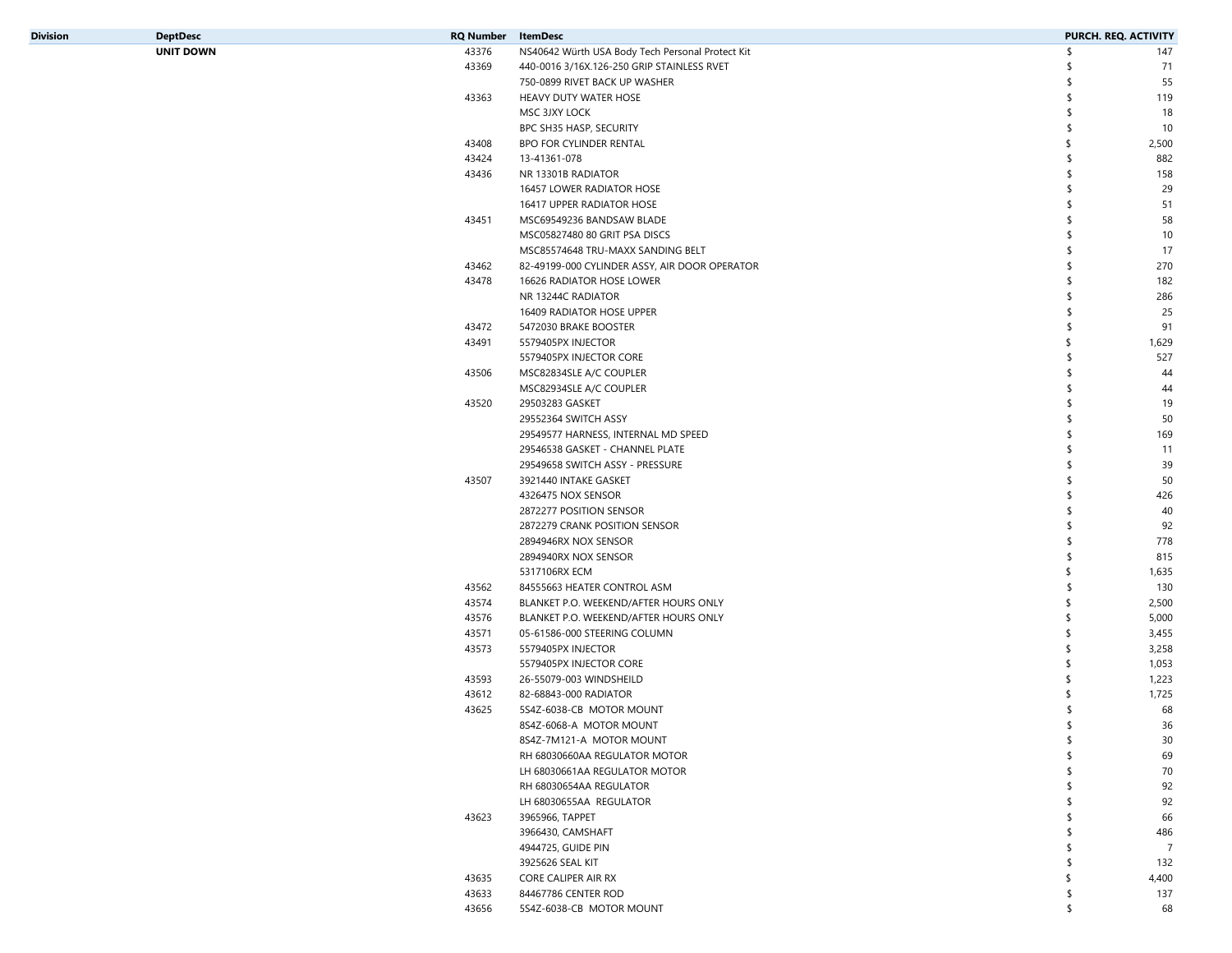| Division | <b>DeptDesc</b>  | <b>RQ Number</b> ItemDesc |                                                  |    | PURCH. REQ. ACTIVITY |
|----------|------------------|---------------------------|--------------------------------------------------|----|----------------------|
|          | <b>UNIT DOWN</b> | 43376                     | NS40642 Würth USA Body Tech Personal Protect Kit | \$ | 147                  |
|          |                  | 43369                     | 440-0016 3/16X.126-250 GRIP STAINLESS RVET       | \$ | 71                   |
|          |                  |                           | 750-0899 RIVET BACK UP WASHER                    |    | 55                   |
|          |                  | 43363                     | HEAVY DUTY WATER HOSE                            |    | 119                  |
|          |                  |                           | MSC 3JXY LOCK                                    | \$ | 18                   |
|          |                  |                           | BPC SH35 HASP, SECURITY                          | \$ | 10                   |
|          |                  | 43408                     | BPO FOR CYLINDER RENTAL                          |    | 2,500                |
|          |                  | 43424                     | 13-41361-078                                     |    | 882                  |
|          |                  | 43436                     | NR 13301B RADIATOR                               |    | 158                  |
|          |                  |                           | 16457 LOWER RADIATOR HOSE                        |    | 29                   |
|          |                  |                           | 16417 UPPER RADIATOR HOSE                        |    | 51                   |
|          |                  | 43451                     | MSC69549236 BANDSAW BLADE                        |    | 58                   |
|          |                  |                           | MSC05827480 80 GRIT PSA DISCS                    |    | 10                   |
|          |                  |                           | MSC85574648 TRU-MAXX SANDING BELT                |    | 17                   |
|          |                  | 43462                     | 82-49199-000 CYLINDER ASSY, AIR DOOR OPERATOR    |    | 270                  |
|          |                  |                           |                                                  | \$ |                      |
|          |                  | 43478                     | 16626 RADIATOR HOSE LOWER                        |    | 182                  |
|          |                  |                           | NR 13244C RADIATOR                               |    | 286                  |
|          |                  |                           | 16409 RADIATOR HOSE UPPER                        |    | 25                   |
|          |                  | 43472                     | 5472030 BRAKE BOOSTER                            | \$ | 91                   |
|          |                  | 43491                     | 5579405PX INJECTOR                               | \$ | 1,629                |
|          |                  |                           | 5579405PX INJECTOR CORE                          | \$ | 527                  |
|          |                  | 43506                     | MSC82834SLE A/C COUPLER                          | \$ | 44                   |
|          |                  |                           | MSC82934SLE A/C COUPLER                          | \$ | 44                   |
|          |                  | 43520                     | 29503283 GASKET                                  |    | 19                   |
|          |                  |                           | 29552364 SWITCH ASSY                             |    | 50                   |
|          |                  |                           | 29549577 HARNESS, INTERNAL MD SPEED              |    | 169                  |
|          |                  |                           | 29546538 GASKET - CHANNEL PLATE                  |    | 11                   |
|          |                  |                           | 29549658 SWITCH ASSY - PRESSURE                  |    | 39                   |
|          |                  | 43507                     | 3921440 INTAKE GASKET                            |    | 50                   |
|          |                  |                           | 4326475 NOX SENSOR                               |    | 426                  |
|          |                  |                           | 2872277 POSITION SENSOR                          |    | 40                   |
|          |                  |                           | 2872279 CRANK POSITION SENSOR                    |    | 92                   |
|          |                  |                           | 2894946RX NOX SENSOR                             | \$ | 778                  |
|          |                  |                           | 2894940RX NOX SENSOR                             |    | 815                  |
|          |                  |                           | 5317106RX ECM                                    |    | 1,635                |
|          |                  | 43562                     | 84555663 HEATER CONTROL ASM                      | S  | 130                  |
|          |                  | 43574                     | BLANKET P.O. WEEKEND/AFTER HOURS ONLY            | \$ | 2,500                |
|          |                  | 43576                     | BLANKET P.O. WEEKEND/AFTER HOURS ONLY            | \$ | 5,000                |
|          |                  | 43571                     | 05-61586-000 STEERING COLUMN                     |    | 3,455                |
|          |                  | 43573                     | 5579405PX INJECTOR                               |    | 3,258                |
|          |                  |                           | 5579405PX INJECTOR CORE                          |    | 1,053                |
|          |                  | 43593                     | 26-55079-003 WINDSHEILD                          |    | 1,223                |
|          |                  | 43612                     | 82-68843-000 RADIATOR                            |    | 1,725                |
|          |                  | 43625                     | 5S4Z-6038-CB MOTOR MOUNT                         |    | 68                   |
|          |                  |                           | 8S4Z-6068-A MOTOR MOUNT                          | \$ | 36                   |
|          |                  |                           | 8S4Z-7M121-A MOTOR MOUNT                         | \$ | 30                   |
|          |                  |                           | RH 68030660AA REGULATOR MOTOR                    | \$ | 69                   |
|          |                  |                           | LH 68030661AA REGULATOR MOTOR                    |    | 70                   |
|          |                  |                           | RH 68030654AA REGULATOR                          |    | 92                   |
|          |                  |                           | LH 68030655AA REGULATOR                          |    | 92                   |
|          |                  | 43623                     | 3965966, TAPPET                                  |    | 66                   |
|          |                  |                           | 3966430, CAMSHAFT                                |    | 486                  |
|          |                  |                           | 4944725, GUIDE PIN                               |    | $\overline{7}$       |
|          |                  |                           | 3925626 SEAL KIT                                 |    | 132                  |
|          |                  | 43635                     | CORE CALIPER AIR RX                              |    | 4,400                |
|          |                  | 43633                     | 84467786 CENTER ROD                              | S  | 137                  |
|          |                  | 43656                     | 5S4Z-6038-CB MOTOR MOUNT                         | \$ | 68                   |
|          |                  |                           |                                                  |    |                      |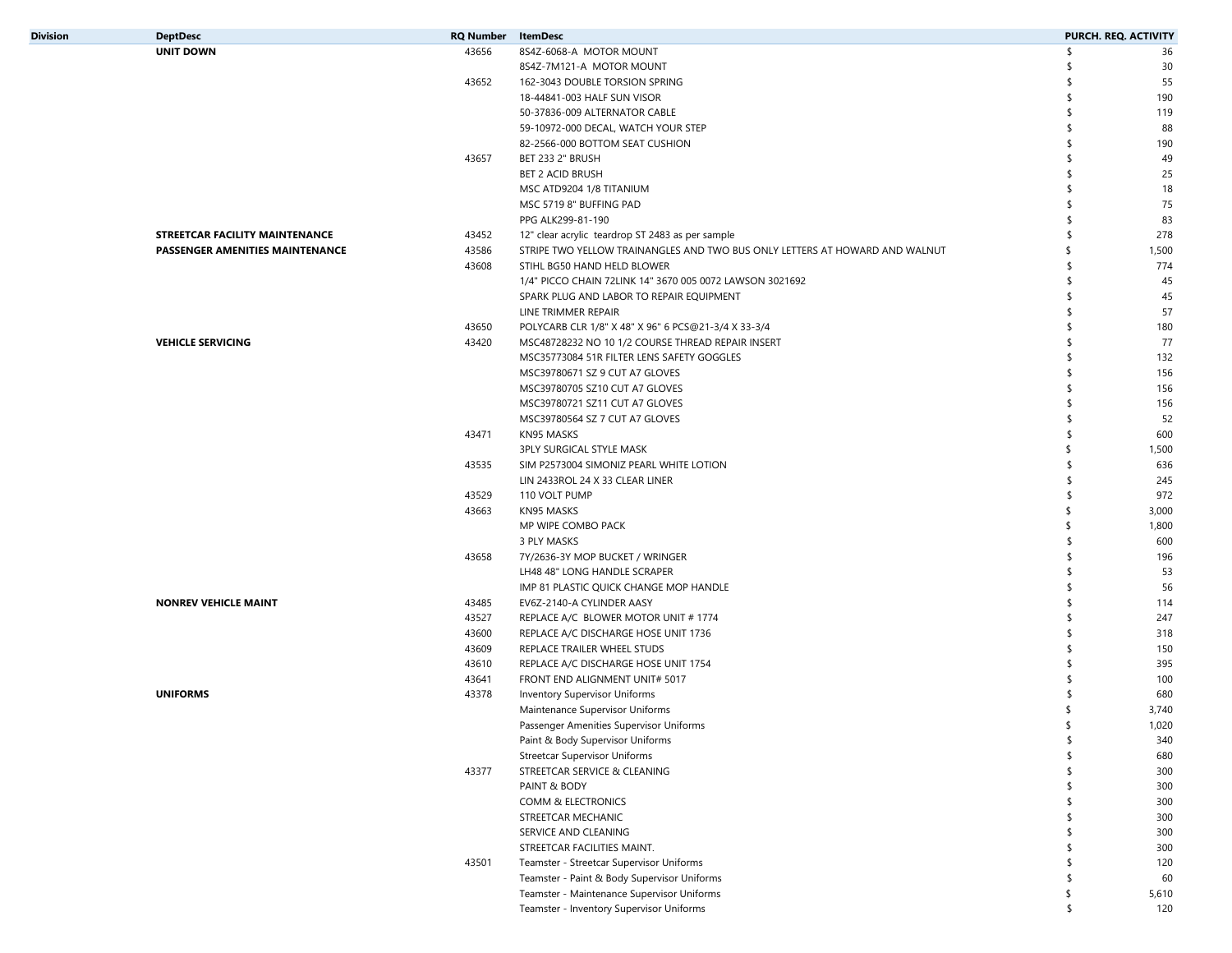| Division | <b>DeptDesc</b>                 | <b>RQ Number</b> | ItemDesc                                                                    |     | PURCH. REQ. ACTIVITY |
|----------|---------------------------------|------------------|-----------------------------------------------------------------------------|-----|----------------------|
|          | <b>UNIT DOWN</b>                | 43656            | 8S4Z-6068-A MOTOR MOUNT                                                     | \$  | 36                   |
|          |                                 |                  | 8S4Z-7M121-A MOTOR MOUNT                                                    |     | 30                   |
|          |                                 | 43652            | 162-3043 DOUBLE TORSION SPRING                                              |     | 55                   |
|          |                                 |                  | 18-44841-003 HALF SUN VISOR                                                 | \$. | 190                  |
|          |                                 |                  | 50-37836-009 ALTERNATOR CABLE                                               | \$  | 119                  |
|          |                                 |                  | 59-10972-000 DECAL, WATCH YOUR STEP                                         | \$  | 88                   |
|          |                                 |                  | 82-2566-000 BOTTOM SEAT CUSHION                                             |     | 190                  |
|          |                                 | 43657            | BET 233 2" BRUSH                                                            |     | 49                   |
|          |                                 |                  | <b>BET 2 ACID BRUSH</b>                                                     |     | 25                   |
|          |                                 |                  | MSC ATD9204 1/8 TITANIUM                                                    |     | 18                   |
|          |                                 |                  | MSC 5719 8" BUFFING PAD                                                     |     | 75                   |
|          |                                 |                  | PPG ALK299-81-190                                                           | \$. | 83                   |
|          | STREETCAR FACILITY MAINTENANCE  | 43452            | 12" clear acrylic teardrop ST 2483 as per sample                            |     | 278                  |
|          | PASSENGER AMENITIES MAINTENANCE | 43586            | STRIPE TWO YELLOW TRAINANGLES AND TWO BUS ONLY LETTERS AT HOWARD AND WALNUT |     | 1,500                |
|          |                                 | 43608            | STIHL BG50 HAND HELD BLOWER                                                 | \$. | 774                  |
|          |                                 |                  | 1/4" PICCO CHAIN 72LINK 14" 3670 005 0072 LAWSON 3021692                    | \$  | 45                   |
|          |                                 |                  | SPARK PLUG AND LABOR TO REPAIR EQUIPMENT                                    | \$  | 45                   |
|          |                                 |                  | LINE TRIMMER REPAIR                                                         |     | 57                   |
|          |                                 | 43650            |                                                                             |     |                      |
|          |                                 |                  | POLYCARB CLR 1/8" X 48" X 96" 6 PCS@21-3/4 X 33-3/4                         | \$  | 180<br>77            |
|          | <b>VEHICLE SERVICING</b>        | 43420            | MSC48728232 NO 10 1/2 COURSE THREAD REPAIR INSERT                           |     |                      |
|          |                                 |                  | MSC35773084 51R FILTER LENS SAFETY GOGGLES                                  |     | 132                  |
|          |                                 |                  | MSC39780671 SZ 9 CUT A7 GLOVES                                              |     | 156                  |
|          |                                 |                  | MSC39780705 SZ10 CUT A7 GLOVES                                              | \$  | 156                  |
|          |                                 |                  | MSC39780721 SZ11 CUT A7 GLOVES                                              |     | 156                  |
|          |                                 |                  | MSC39780564 SZ 7 CUT A7 GLOVES                                              |     | 52                   |
|          |                                 | 43471            | KN95 MASKS                                                                  | \$. | 600                  |
|          |                                 |                  | 3PLY SURGICAL STYLE MASK                                                    | -S  | 1,500                |
|          |                                 | 43535            | SIM P2573004 SIMONIZ PEARL WHITE LOTION                                     |     | 636                  |
|          |                                 |                  | LIN 2433ROL 24 X 33 CLEAR LINER                                             |     | 245                  |
|          |                                 | 43529            | 110 VOLT PUMP                                                               |     | 972                  |
|          |                                 | 43663            | KN95 MASKS                                                                  |     | 3,000                |
|          |                                 |                  | MP WIPE COMBO PACK                                                          | -S  | 1,800                |
|          |                                 |                  | 3 PLY MASKS                                                                 | \$. | 600                  |
|          |                                 | 43658            | 7Y/2636-3Y MOP BUCKET / WRINGER                                             | \$  | 196                  |
|          |                                 |                  | LH48 48" LONG HANDLE SCRAPER                                                |     | 53                   |
|          |                                 |                  | IMP 81 PLASTIC QUICK CHANGE MOP HANDLE                                      |     | 56                   |
|          | <b>NONREV VEHICLE MAINT</b>     | 43485            | EV6Z-2140-A CYLINDER AASY                                                   | \$. | 114                  |
|          |                                 | 43527            | REPLACE A/C BLOWER MOTOR UNIT # 1774                                        | \$  | 247                  |
|          |                                 | 43600            | REPLACE A/C DISCHARGE HOSE UNIT 1736                                        |     | 318                  |
|          |                                 | 43609            | REPLACE TRAILER WHEEL STUDS                                                 |     | 150                  |
|          |                                 | 43610            | REPLACE A/C DISCHARGE HOSE UNIT 1754                                        |     | 395                  |
|          |                                 | 43641            | FRONT END ALIGNMENT UNIT# 5017                                              |     | 100                  |
|          | <b>UNIFORMS</b>                 | 43378            | <b>Inventory Supervisor Uniforms</b>                                        |     | 680                  |
|          |                                 |                  | Maintenance Supervisor Uniforms                                             |     | 3,740                |
|          |                                 |                  | Passenger Amenities Supervisor Uniforms                                     | €   | 1,020                |
|          |                                 |                  | Paint & Body Supervisor Uniforms                                            | \$  | 340                  |
|          |                                 |                  | <b>Streetcar Supervisor Uniforms</b>                                        | \$  | 680                  |
|          |                                 | 43377            | STREETCAR SERVICE & CLEANING                                                | \$  | 300                  |
|          |                                 |                  | PAINT & BODY                                                                | \$  | 300                  |
|          |                                 |                  | COMM & ELECTRONICS                                                          | \$  | 300                  |
|          |                                 |                  | STREETCAR MECHANIC                                                          | \$  | 300                  |
|          |                                 |                  |                                                                             | \$  |                      |
|          |                                 |                  | SERVICE AND CLEANING                                                        | \$  | 300                  |
|          |                                 |                  | STREETCAR FACILITIES MAINT.                                                 |     | 300                  |
|          |                                 | 43501            | Teamster - Streetcar Supervisor Uniforms                                    | \$  | 120                  |
|          |                                 |                  | Teamster - Paint & Body Supervisor Uniforms                                 | \$  | 60                   |
|          |                                 |                  | Teamster - Maintenance Supervisor Uniforms                                  | \$  | 5,610                |
|          |                                 |                  | Teamster - Inventory Supervisor Uniforms                                    | \$  | 120                  |
|          |                                 |                  |                                                                             |     |                      |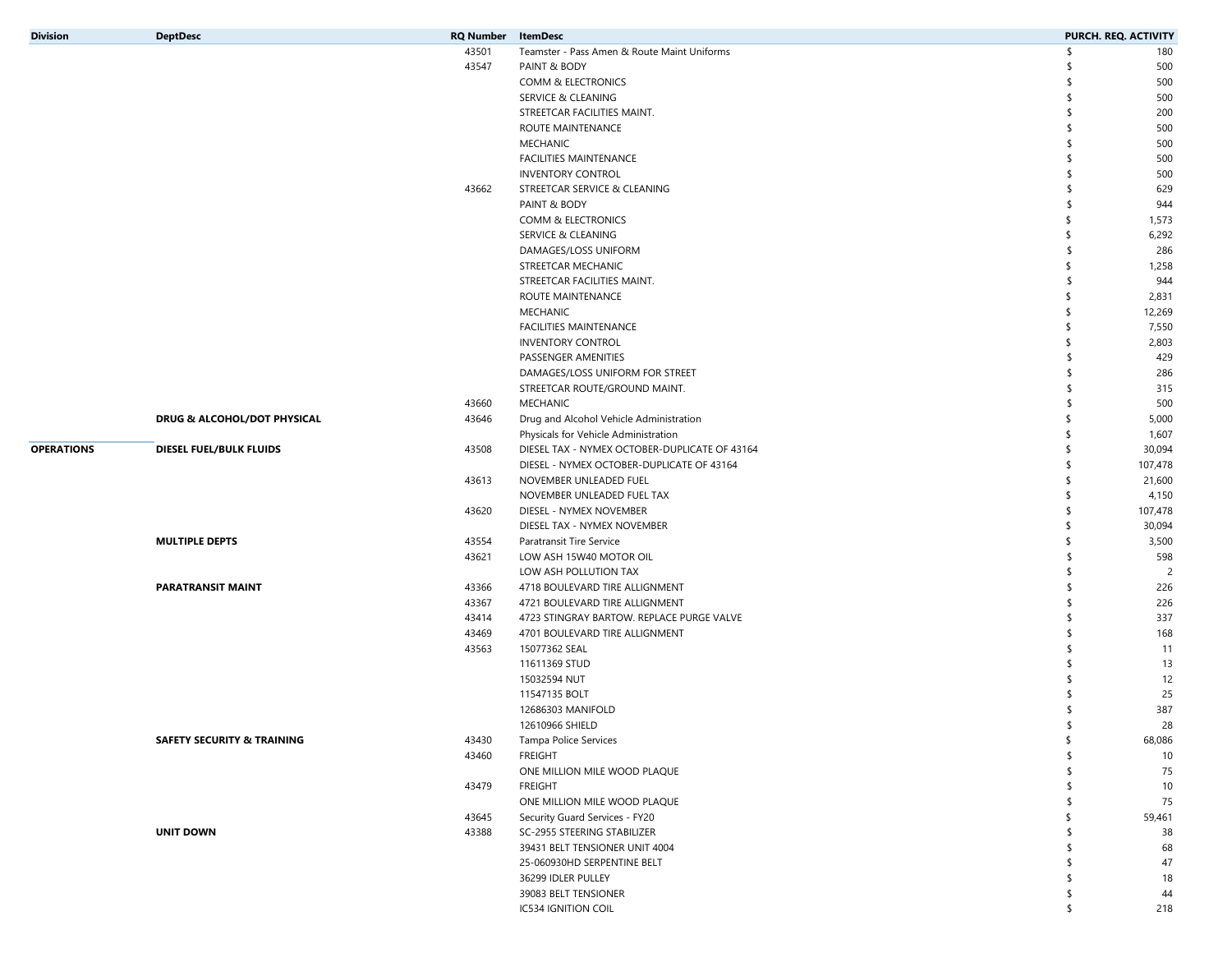| <b>Division</b>   | <b>DeptDesc</b>                       | <b>RQ Number</b> ItemDesc |                                                | PURCH. REQ. ACTIVITY |          |
|-------------------|---------------------------------------|---------------------------|------------------------------------------------|----------------------|----------|
|                   |                                       | 43501                     | Teamster - Pass Amen & Route Maint Uniforms    | -¢                   | 180      |
|                   |                                       | 43547                     | PAINT & BODY                                   |                      | 500      |
|                   |                                       |                           | COMM & ELECTRONICS                             | \$                   | 500      |
|                   |                                       |                           | <b>SERVICE &amp; CLEANING</b>                  | ٩                    | 500      |
|                   |                                       |                           | STREETCAR FACILITIES MAINT.                    | S                    | 200      |
|                   |                                       |                           | ROUTE MAINTENANCE                              | \$                   | 500      |
|                   |                                       |                           | <b>MECHANIC</b>                                | ٩                    | 500      |
|                   |                                       |                           | FACILITIES MAINTENANCE                         |                      | 500      |
|                   |                                       |                           | <b>INVENTORY CONTROL</b>                       |                      | 500      |
|                   |                                       | 43662                     | STREETCAR SERVICE & CLEANING                   |                      | 629      |
|                   |                                       |                           | PAINT & BODY                                   |                      | 944      |
|                   |                                       |                           | COMM & ELECTRONICS                             | \$                   | 1,573    |
|                   |                                       |                           | SERVICE & CLEANING                             | \$                   | 6,292    |
|                   |                                       |                           | DAMAGES/LOSS UNIFORM                           | \$.                  | 286      |
|                   |                                       |                           | STREETCAR MECHANIC                             | \$                   | 1,258    |
|                   |                                       |                           | STREETCAR FACILITIES MAINT.                    | \$.                  | 944      |
|                   |                                       |                           | ROUTE MAINTENANCE                              | -S                   | 2,831    |
|                   |                                       |                           | <b>MECHANIC</b>                                | \$                   | 12,269   |
|                   |                                       |                           | FACILITIES MAINTENANCE                         | \$                   | 7,550    |
|                   |                                       |                           | <b>INVENTORY CONTROL</b>                       | S                    | 2,803    |
|                   |                                       |                           | PASSENGER AMENITIES                            | ٩                    | 429      |
|                   |                                       |                           | DAMAGES/LOSS UNIFORM FOR STREET                | \$                   | 286      |
|                   |                                       |                           | STREETCAR ROUTE/GROUND MAINT.                  | S                    | 315      |
|                   |                                       | 43660                     | MECHANIC                                       | \$.                  | 500      |
|                   | DRUG & ALCOHOL/DOT PHYSICAL           | 43646                     | Drug and Alcohol Vehicle Administration        | \$                   | 5,000    |
|                   |                                       |                           | Physicals for Vehicle Administration           | -S                   | 1,607    |
| <b>OPERATIONS</b> | DIESEL FUEL/BULK FLUIDS               | 43508                     | DIESEL TAX - NYMEX OCTOBER-DUPLICATE OF 43164  | \$                   | 30,094   |
|                   |                                       |                           | DIESEL - NYMEX OCTOBER-DUPLICATE OF 43164      | \$                   | 107,478  |
|                   |                                       | 43613                     | NOVEMBER UNLEADED FUEL                         | \$                   | 21,600   |
|                   |                                       |                           | NOVEMBER UNLEADED FUEL TAX                     | \$                   | 4,150    |
|                   |                                       | 43620                     | DIESEL - NYMEX NOVEMBER                        | \$                   | 107,478  |
|                   |                                       |                           | DIESEL TAX - NYMEX NOVEMBER                    | \$                   | 30,094   |
|                   | <b>MULTIPLE DEPTS</b>                 | 43554                     | Paratransit Tire Service                       | \$                   | 3,500    |
|                   |                                       | 43621                     | LOW ASH 15W40 MOTOR OIL                        | \$                   | 598      |
|                   |                                       |                           | LOW ASH POLLUTION TAX                          | S                    | 2        |
|                   | <b>PARATRANSIT MAINT</b>              | 43366                     | 4718 BOULEVARD TIRE ALLIGNMENT                 | \$                   | 226      |
|                   |                                       | 43367                     | 4721 BOULEVARD TIRE ALLIGNMENT                 |                      | 226      |
|                   |                                       | 43414                     | 4723 STINGRAY BARTOW. REPLACE PURGE VALVE      |                      | 337      |
|                   |                                       | 43469                     | 4701 BOULEVARD TIRE ALLIGNMENT                 | ٩                    | 168      |
|                   |                                       | 43563                     | 15077362 SEAL                                  |                      | 11       |
|                   |                                       |                           | 11611369 STUD                                  |                      | 13       |
|                   |                                       |                           | 15032594 NUT                                   |                      | 12       |
|                   |                                       |                           | 11547135 BOLT                                  |                      | 25       |
|                   |                                       |                           | 12686303 MANIFOLD                              | S                    | 387      |
|                   |                                       |                           | 12610966 SHIELD                                |                      | 28       |
|                   | <b>SAFETY SECURITY &amp; TRAINING</b> | 43430                     | Tampa Police Services                          | \$<br>\$             | 68,086   |
|                   |                                       | 43460                     | <b>FREIGHT</b><br>ONE MILLION MILE WOOD PLAQUE | \$.                  | 10       |
|                   |                                       | 43479                     | <b>FREIGHT</b>                                 | \$.                  | 75<br>10 |
|                   |                                       |                           | ONE MILLION MILE WOOD PLAQUE                   | -S                   | 75       |
|                   |                                       | 43645                     | Security Guard Services - FY20                 | -S                   | 59,461   |
|                   | <b>UNIT DOWN</b>                      | 43388                     | SC-2955 STEERING STABILIZER                    | -S                   | 38       |
|                   |                                       |                           | 39431 BELT TENSIONER UNIT 4004                 | \$                   | 68       |
|                   |                                       |                           | 25-060930HD SERPENTINE BELT                    | \$.                  | 47       |
|                   |                                       |                           | 36299 IDLER PULLEY                             | \$                   | 18       |
|                   |                                       |                           | 39083 BELT TENSIONER                           | \$                   | 44       |
|                   |                                       |                           | IC534 IGNITION COIL                            | \$                   | 218      |
|                   |                                       |                           |                                                |                      |          |